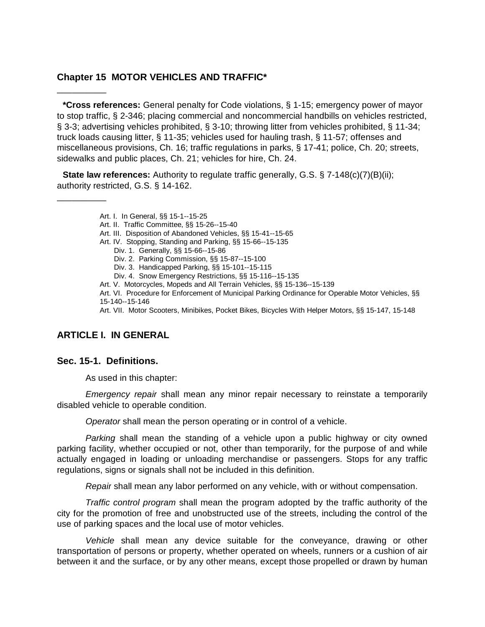## **Chapter 15 MOTOR VEHICLES AND TRAFFIC\***

**\*Cross references:** General penalty for Code violations, § 1-15; emergency power of mayor to stop traffic, § 2-346; placing commercial and noncommercial handbills on vehicles restricted, § 3-3; advertising vehicles prohibited, § 3-10; throwing litter from vehicles prohibited, § 11-34; truck loads causing litter, § 11-35; vehicles used for hauling trash, § 11-57; offenses and miscellaneous provisions, Ch. 16; traffic regulations in parks, § 17-41; police, Ch. 20; streets, sidewalks and public places, Ch. 21; vehicles for hire, Ch. 24.

**State law references:** Authority to regulate traffic generally, G.S. § 7-148(c)(7)(B)(ii); authority restricted, G.S. § 14-162.

- Art. I. In General, §§ 15-1--15-25
- Art. II. Traffic Committee, §§ 15-26--15-40
- Art. III. Disposition of Abandoned Vehicles, §§ 15-41--15-65
- Art. IV. Stopping, Standing and Parking, §§ 15-66--15-135
	- Div. 1. Generally, §§ 15-66--15-86
	- Div. 2. Parking Commission, §§ 15-87--15-100
	- Div. 3. Handicapped Parking, §§ 15-101--15-115
	- Div. 4. Snow Emergency Restrictions, §§ 15-116--15-135
- Art. V. Motorcycles, Mopeds and All Terrain Vehicles, §§ 15-136--15-139

Art. VI. Procedure for Enforcement of Municipal Parking Ordinance for Operable Motor Vehicles, §§ 15-140--15-146

Art. VII. Motor Scooters, Minibikes, Pocket Bikes, Bicycles With Helper Motors, §§ 15-147, 15-148

## **ARTICLE I. IN GENERAL**

#### **Sec. 15-1. Definitions.**

\_\_\_\_\_\_\_\_\_\_

\_\_\_\_\_\_\_\_\_\_

As used in this chapter:

*Emergency repair* shall mean any minor repair necessary to reinstate a temporarily disabled vehicle to operable condition.

*Operator* shall mean the person operating or in control of a vehicle.

*Parking* shall mean the standing of a vehicle upon a public highway or city owned parking facility, whether occupied or not, other than temporarily, for the purpose of and while actually engaged in loading or unloading merchandise or passengers. Stops for any traffic regulations, signs or signals shall not be included in this definition.

*Repair* shall mean any labor performed on any vehicle, with or without compensation.

*Traffic control program* shall mean the program adopted by the traffic authority of the city for the promotion of free and unobstructed use of the streets, including the control of the use of parking spaces and the local use of motor vehicles.

*Vehicle* shall mean any device suitable for the conveyance, drawing or other transportation of persons or property, whether operated on wheels, runners or a cushion of air between it and the surface, or by any other means, except those propelled or drawn by human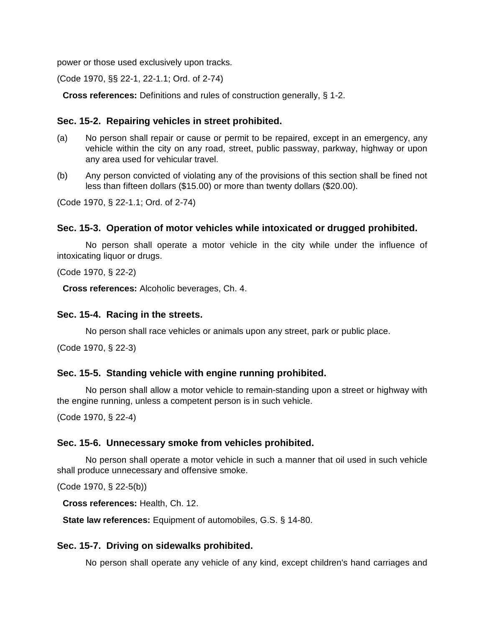power or those used exclusively upon tracks.

(Code 1970, §§ 22-1, 22-1.1; Ord. of 2-74)

**Cross references:** Definitions and rules of construction generally, § 1-2.

## **Sec. 15-2. Repairing vehicles in street prohibited.**

- (a) No person shall repair or cause or permit to be repaired, except in an emergency, any vehicle within the city on any road, street, public passway, parkway, highway or upon any area used for vehicular travel.
- (b) Any person convicted of violating any of the provisions of this section shall be fined not less than fifteen dollars (\$15.00) or more than twenty dollars (\$20.00).

(Code 1970, § 22-1.1; Ord. of 2-74)

## **Sec. 15-3. Operation of motor vehicles while intoxicated or drugged prohibited.**

No person shall operate a motor vehicle in the city while under the influence of intoxicating liquor or drugs.

(Code 1970, § 22-2)

**Cross references:** Alcoholic beverages, Ch. 4.

#### **Sec. 15-4. Racing in the streets.**

No person shall race vehicles or animals upon any street, park or public place.

(Code 1970, § 22-3)

#### **Sec. 15-5. Standing vehicle with engine running prohibited.**

No person shall allow a motor vehicle to remain-standing upon a street or highway with the engine running, unless a competent person is in such vehicle.

(Code 1970, § 22-4)

#### **Sec. 15-6. Unnecessary smoke from vehicles prohibited.**

No person shall operate a motor vehicle in such a manner that oil used in such vehicle shall produce unnecessary and offensive smoke.

(Code 1970, § 22-5(b))

**Cross references:** Health, Ch. 12.

**State law references:** Equipment of automobiles, G.S. § 14-80.

#### **Sec. 15-7. Driving on sidewalks prohibited.**

No person shall operate any vehicle of any kind, except children's hand carriages and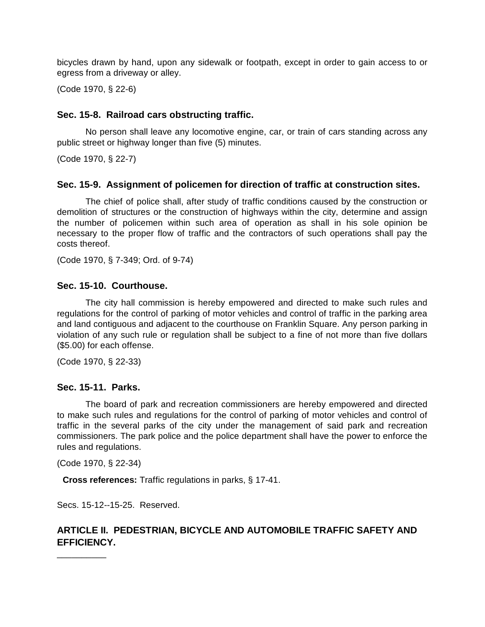bicycles drawn by hand, upon any sidewalk or footpath, except in order to gain access to or egress from a driveway or alley.

(Code 1970, § 22-6)

## **Sec. 15-8. Railroad cars obstructing traffic.**

No person shall leave any locomotive engine, car, or train of cars standing across any public street or highway longer than five (5) minutes.

(Code 1970, § 22-7)

## **Sec. 15-9. Assignment of policemen for direction of traffic at construction sites.**

The chief of police shall, after study of traffic conditions caused by the construction or demolition of structures or the construction of highways within the city, determine and assign the number of policemen within such area of operation as shall in his sole opinion be necessary to the proper flow of traffic and the contractors of such operations shall pay the costs thereof.

(Code 1970, § 7-349; Ord. of 9-74)

## **Sec. 15-10. Courthouse.**

The city hall commission is hereby empowered and directed to make such rules and regulations for the control of parking of motor vehicles and control of traffic in the parking area and land contiguous and adjacent to the courthouse on Franklin Square. Any person parking in violation of any such rule or regulation shall be subject to a fine of not more than five dollars (\$5.00) for each offense.

(Code 1970, § 22-33)

#### **Sec. 15-11. Parks.**

The board of park and recreation commissioners are hereby empowered and directed to make such rules and regulations for the control of parking of motor vehicles and control of traffic in the several parks of the city under the management of said park and recreation commissioners. The park police and the police department shall have the power to enforce the rules and regulations.

(Code 1970, § 22-34)

**Cross references:** Traffic regulations in parks, § 17-41.

Secs. 15-12--15-25. Reserved.

# **ARTICLE II. PEDESTRIAN, BICYCLE AND AUTOMOBILE TRAFFIC SAFETY AND EFFICIENCY.**

\_\_\_\_\_\_\_\_\_\_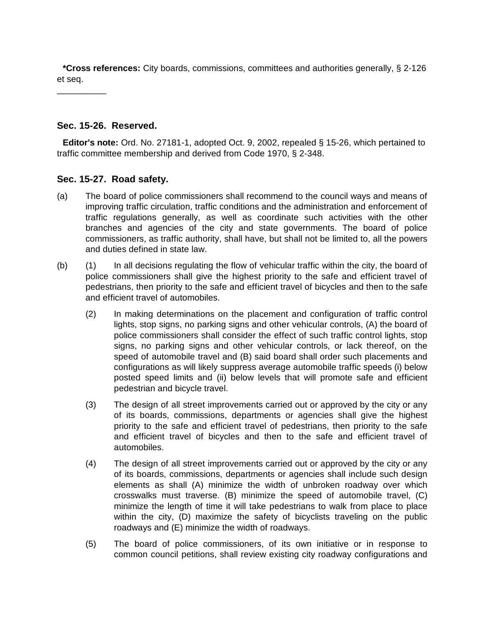**\*Cross references:** City boards, commissions, committees and authorities generally, § 2-126 et seq.

\_\_\_\_\_\_\_\_\_\_

## **Sec. 15-26. Reserved.**

**Editor's note:** Ord. No. 27181-1, adopted Oct. 9, 2002, repealed § 15-26, which pertained to traffic committee membership and derived from Code 1970, § 2-348.

## **Sec. 15-27. Road safety.**

- (a) The board of police commissioners shall recommend to the council ways and means of improving traffic circulation, traffic conditions and the administration and enforcement of traffic regulations generally, as well as coordinate such activities with the other branches and agencies of the city and state governments. The board of police commissioners, as traffic authority, shall have, but shall not be limited to, all the powers and duties defined in state law.
- (b) (1) In all decisions regulating the flow of vehicular traffic within the city, the board of police commissioners shall give the highest priority to the safe and efficient travel of pedestrians, then priority to the safe and efficient travel of bicycles and then to the safe and efficient travel of automobiles.
	- (2) In making determinations on the placement and configuration of traffic control lights, stop signs, no parking signs and other vehicular controls, (A) the board of police commissioners shall consider the effect of such traffic control lights, stop signs, no parking signs and other vehicular controls, or lack thereof, on the speed of automobile travel and (B) said board shall order such placements and configurations as will likely suppress average automobile traffic speeds (i) below posted speed limits and (ii) below levels that will promote safe and efficient pedestrian and bicycle travel.
	- (3) The design of all street improvements carried out or approved by the city or any of its boards, commissions, departments or agencies shall give the highest priority to the safe and efficient travel of pedestrians, then priority to the safe and efficient travel of bicycles and then to the safe and efficient travel of automobiles.
	- (4) The design of all street improvements carried out or approved by the city or any of its boards, commissions, departments or agencies shall include such design elements as shall (A) minimize the width of unbroken roadway over which crosswalks must traverse. (B) minimize the speed of automobile travel, (C) minimize the length of time it will take pedestrians to walk from place to place within the city, (D) maximize the safety of bicyclists traveling on the public roadways and (E) minimize the width of roadways.
	- (5) The board of police commissioners, of its own initiative or in response to common council petitions, shall review existing city roadway configurations and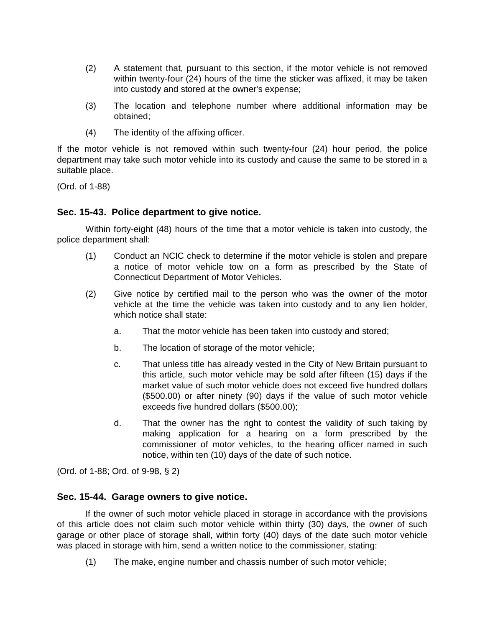- (2) A statement that, pursuant to this section, if the motor vehicle is not removed within twenty-four (24) hours of the time the sticker was affixed, it may be taken into custody and stored at the owner's expense;
- (3) The location and telephone number where additional information may be obtained;
- (4) The identity of the affixing officer.

If the motor vehicle is not removed within such twenty-four (24) hour period, the police department may take such motor vehicle into its custody and cause the same to be stored in a suitable place.

(Ord. of 1-88)

## **Sec. 15-43. Police department to give notice.**

Within forty-eight (48) hours of the time that a motor vehicle is taken into custody, the police department shall:

- (1) Conduct an NCIC check to determine if the motor vehicle is stolen and prepare a notice of motor vehicle tow on a form as prescribed by the State of Connecticut Department of Motor Vehicles.
- (2) Give notice by certified mail to the person who was the owner of the motor vehicle at the time the vehicle was taken into custody and to any lien holder, which notice shall state:
	- a. That the motor vehicle has been taken into custody and stored;
	- b. The location of storage of the motor vehicle;
	- c. That unless title has already vested in the City of New Britain pursuant to this article, such motor vehicle may be sold after fifteen (15) days if the market value of such motor vehicle does not exceed five hundred dollars (\$500.00) or after ninety (90) days if the value of such motor vehicle exceeds five hundred dollars (\$500.00);
	- d. That the owner has the right to contest the validity of such taking by making application for a hearing on a form prescribed by the commissioner of motor vehicles, to the hearing officer named in such notice, within ten (10) days of the date of such notice.

(Ord. of 1-88; Ord. of 9-98, § 2)

#### **Sec. 15-44. Garage owners to give notice.**

If the owner of such motor vehicle placed in storage in accordance with the provisions of this article does not claim such motor vehicle within thirty (30) days, the owner of such garage or other place of storage shall, within forty (40) days of the date such motor vehicle was placed in storage with him, send a written notice to the commissioner, stating:

(1) The make, engine number and chassis number of such motor vehicle;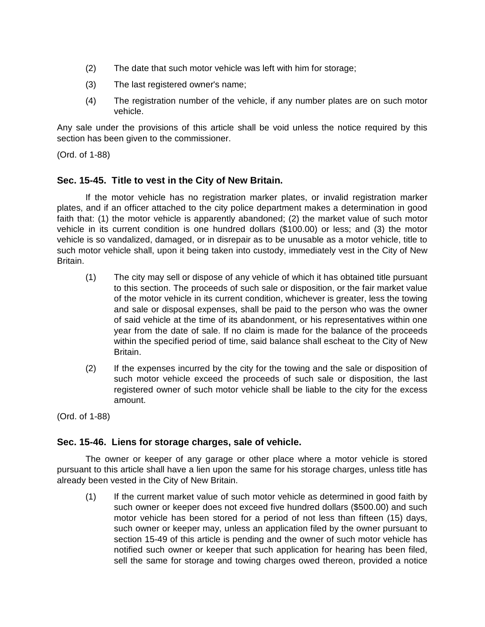- (2) The date that such motor vehicle was left with him for storage;
- (3) The last registered owner's name;
- (4) The registration number of the vehicle, if any number plates are on such motor vehicle.

Any sale under the provisions of this article shall be void unless the notice required by this section has been given to the commissioner.

(Ord. of 1-88)

## **Sec. 15-45. Title to vest in the City of New Britain.**

If the motor vehicle has no registration marker plates, or invalid registration marker plates, and if an officer attached to the city police department makes a determination in good faith that: (1) the motor vehicle is apparently abandoned; (2) the market value of such motor vehicle in its current condition is one hundred dollars (\$100.00) or less; and (3) the motor vehicle is so vandalized, damaged, or in disrepair as to be unusable as a motor vehicle, title to such motor vehicle shall, upon it being taken into custody, immediately vest in the City of New Britain.

- (1) The city may sell or dispose of any vehicle of which it has obtained title pursuant to this section. The proceeds of such sale or disposition, or the fair market value of the motor vehicle in its current condition, whichever is greater, less the towing and sale or disposal expenses, shall be paid to the person who was the owner of said vehicle at the time of its abandonment, or his representatives within one year from the date of sale. If no claim is made for the balance of the proceeds within the specified period of time, said balance shall escheat to the City of New Britain.
- (2) If the expenses incurred by the city for the towing and the sale or disposition of such motor vehicle exceed the proceeds of such sale or disposition, the last registered owner of such motor vehicle shall be liable to the city for the excess amount.

(Ord. of 1-88)

#### **Sec. 15-46. Liens for storage charges, sale of vehicle.**

The owner or keeper of any garage or other place where a motor vehicle is stored pursuant to this article shall have a lien upon the same for his storage charges, unless title has already been vested in the City of New Britain.

(1) If the current market value of such motor vehicle as determined in good faith by such owner or keeper does not exceed five hundred dollars (\$500.00) and such motor vehicle has been stored for a period of not less than fifteen (15) days, such owner or keeper may, unless an application filed by the owner pursuant to section 15-49 of this article is pending and the owner of such motor vehicle has notified such owner or keeper that such application for hearing has been filed, sell the same for storage and towing charges owed thereon, provided a notice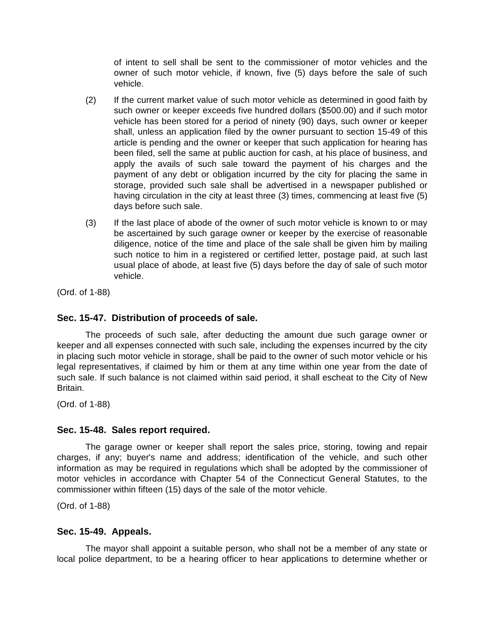of intent to sell shall be sent to the commissioner of motor vehicles and the owner of such motor vehicle, if known, five (5) days before the sale of such vehicle.

- (2) If the current market value of such motor vehicle as determined in good faith by such owner or keeper exceeds five hundred dollars (\$500.00) and if such motor vehicle has been stored for a period of ninety (90) days, such owner or keeper shall, unless an application filed by the owner pursuant to section 15-49 of this article is pending and the owner or keeper that such application for hearing has been filed, sell the same at public auction for cash, at his place of business, and apply the avails of such sale toward the payment of his charges and the payment of any debt or obligation incurred by the city for placing the same in storage, provided such sale shall be advertised in a newspaper published or having circulation in the city at least three (3) times, commencing at least five (5) days before such sale.
- (3) If the last place of abode of the owner of such motor vehicle is known to or may be ascertained by such garage owner or keeper by the exercise of reasonable diligence, notice of the time and place of the sale shall be given him by mailing such notice to him in a registered or certified letter, postage paid, at such last usual place of abode, at least five (5) days before the day of sale of such motor vehicle.

(Ord. of 1-88)

## **Sec. 15-47. Distribution of proceeds of sale.**

The proceeds of such sale, after deducting the amount due such garage owner or keeper and all expenses connected with such sale, including the expenses incurred by the city in placing such motor vehicle in storage, shall be paid to the owner of such motor vehicle or his legal representatives, if claimed by him or them at any time within one year from the date of such sale. If such balance is not claimed within said period, it shall escheat to the City of New Britain.

(Ord. of 1-88)

## **Sec. 15-48. Sales report required.**

The garage owner or keeper shall report the sales price, storing, towing and repair charges, if any; buyer's name and address; identification of the vehicle, and such other information as may be required in regulations which shall be adopted by the commissioner of motor vehicles in accordance with Chapter 54 of the Connecticut General Statutes, to the commissioner within fifteen (15) days of the sale of the motor vehicle.

(Ord. of 1-88)

## **Sec. 15-49. Appeals.**

The mayor shall appoint a suitable person, who shall not be a member of any state or local police department, to be a hearing officer to hear applications to determine whether or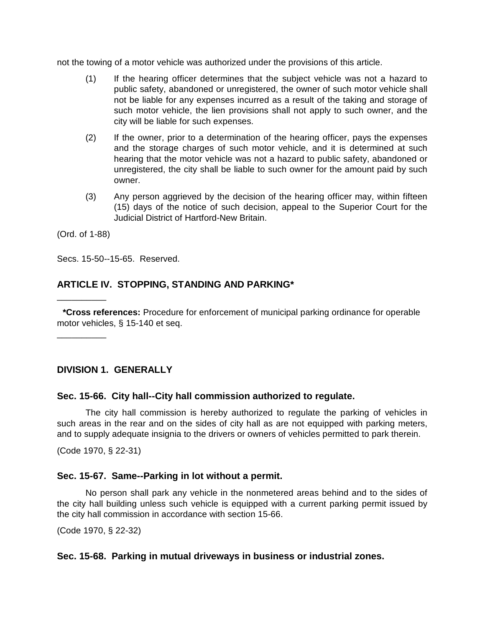not the towing of a motor vehicle was authorized under the provisions of this article.

- (1) If the hearing officer determines that the subject vehicle was not a hazard to public safety, abandoned or unregistered, the owner of such motor vehicle shall not be liable for any expenses incurred as a result of the taking and storage of such motor vehicle, the lien provisions shall not apply to such owner, and the city will be liable for such expenses.
- (2) If the owner, prior to a determination of the hearing officer, pays the expenses and the storage charges of such motor vehicle, and it is determined at such hearing that the motor vehicle was not a hazard to public safety, abandoned or unregistered, the city shall be liable to such owner for the amount paid by such owner.
- (3) Any person aggrieved by the decision of the hearing officer may, within fifteen (15) days of the notice of such decision, appeal to the Superior Court for the Judicial District of Hartford-New Britain.

(Ord. of 1-88)

\_\_\_\_\_\_\_\_\_\_

\_\_\_\_\_\_\_\_\_\_

Secs. 15-50--15-65. Reserved.

## **ARTICLE IV. STOPPING, STANDING AND PARKING\***

**\*Cross references:** Procedure for enforcement of municipal parking ordinance for operable motor vehicles, § 15-140 et seq.

**DIVISION 1. GENERALLY**

# **Sec. 15-66. City hall--City hall commission authorized to regulate.**

The city hall commission is hereby authorized to regulate the parking of vehicles in such areas in the rear and on the sides of city hall as are not equipped with parking meters, and to supply adequate insignia to the drivers or owners of vehicles permitted to park therein.

(Code 1970, § 22-31)

## **Sec. 15-67. Same--Parking in lot without a permit.**

No person shall park any vehicle in the nonmetered areas behind and to the sides of the city hall building unless such vehicle is equipped with a current parking permit issued by the city hall commission in accordance with section 15-66.

(Code 1970, § 22-32)

#### **Sec. 15-68. Parking in mutual driveways in business or industrial zones.**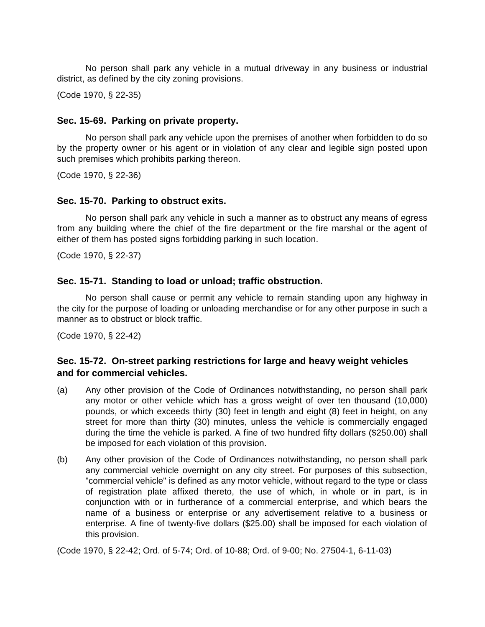No person shall park any vehicle in a mutual driveway in any business or industrial district, as defined by the city zoning provisions.

(Code 1970, § 22-35)

## **Sec. 15-69. Parking on private property.**

No person shall park any vehicle upon the premises of another when forbidden to do so by the property owner or his agent or in violation of any clear and legible sign posted upon such premises which prohibits parking thereon.

(Code 1970, § 22-36)

#### **Sec. 15-70. Parking to obstruct exits.**

No person shall park any vehicle in such a manner as to obstruct any means of egress from any building where the chief of the fire department or the fire marshal or the agent of either of them has posted signs forbidding parking in such location.

(Code 1970, § 22-37)

## **Sec. 15-71. Standing to load or unload; traffic obstruction.**

No person shall cause or permit any vehicle to remain standing upon any highway in the city for the purpose of loading or unloading merchandise or for any other purpose in such a manner as to obstruct or block traffic.

(Code 1970, § 22-42)

## **Sec. 15-72. On-street parking restrictions for large and heavy weight vehicles and for commercial vehicles.**

- (a) Any other provision of the Code of Ordinances notwithstanding, no person shall park any motor or other vehicle which has a gross weight of over ten thousand (10,000) pounds, or which exceeds thirty (30) feet in length and eight (8) feet in height, on any street for more than thirty (30) minutes, unless the vehicle is commercially engaged during the time the vehicle is parked. A fine of two hundred fifty dollars (\$250.00) shall be imposed for each violation of this provision.
- (b) Any other provision of the Code of Ordinances notwithstanding, no person shall park any commercial vehicle overnight on any city street. For purposes of this subsection, "commercial vehicle" is defined as any motor vehicle, without regard to the type or class of registration plate affixed thereto, the use of which, in whole or in part, is in conjunction with or in furtherance of a commercial enterprise, and which bears the name of a business or enterprise or any advertisement relative to a business or enterprise. A fine of twenty-five dollars (\$25.00) shall be imposed for each violation of this provision.

(Code 1970, § 22-42; Ord. of 5-74; Ord. of 10-88; Ord. of 9-00; No. 27504-1, 6-11-03)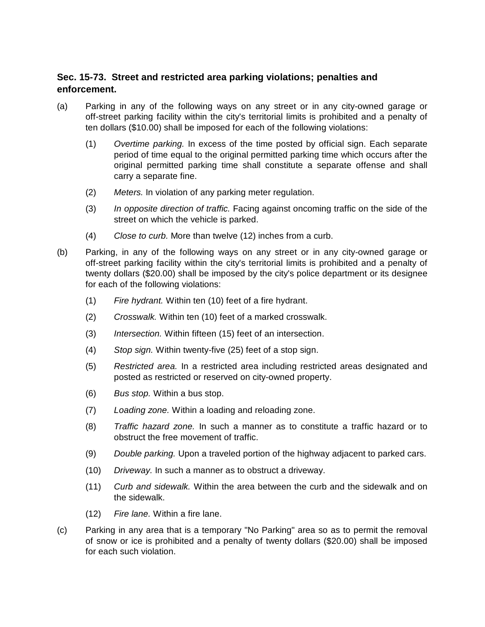# **Sec. 15-73. Street and restricted area parking violations; penalties and enforcement.**

- (a) Parking in any of the following ways on any street or in any city-owned garage or off-street parking facility within the city's territorial limits is prohibited and a penalty of ten dollars (\$10.00) shall be imposed for each of the following violations:
	- (1) *Overtime parking.* In excess of the time posted by official sign. Each separate period of time equal to the original permitted parking time which occurs after the original permitted parking time shall constitute a separate offense and shall carry a separate fine.
	- (2) *Meters.* In violation of any parking meter regulation.
	- (3) *In opposite direction of traffic.* Facing against oncoming traffic on the side of the street on which the vehicle is parked.
	- (4) *Close to curb.* More than twelve (12) inches from a curb.
- (b) Parking, in any of the following ways on any street or in any city-owned garage or off-street parking facility within the city's territorial limits is prohibited and a penalty of twenty dollars (\$20.00) shall be imposed by the city's police department or its designee for each of the following violations:
	- (1) *Fire hydrant.* Within ten (10) feet of a fire hydrant.
	- (2) *Crosswalk.* Within ten (10) feet of a marked crosswalk.
	- (3) *Intersection.* Within fifteen (15) feet of an intersection.
	- (4) *Stop sign.* Within twenty-five (25) feet of a stop sign.
	- (5) *Restricted area.* In a restricted area including restricted areas designated and posted as restricted or reserved on city-owned property.
	- (6) *Bus stop.* Within a bus stop.
	- (7) *Loading zone.* Within a loading and reloading zone.
	- (8) *Traffic hazard zone.* In such a manner as to constitute a traffic hazard or to obstruct the free movement of traffic.
	- (9) *Double parking.* Upon a traveled portion of the highway adjacent to parked cars.
	- (10) *Driveway.* In such a manner as to obstruct a driveway.
	- (11) *Curb and sidewalk.* Within the area between the curb and the sidewalk and on the sidewalk.
	- (12) *Fire lane.* Within a fire lane.
- (c) Parking in any area that is a temporary "No Parking" area so as to permit the removal of snow or ice is prohibited and a penalty of twenty dollars (\$20.00) shall be imposed for each such violation.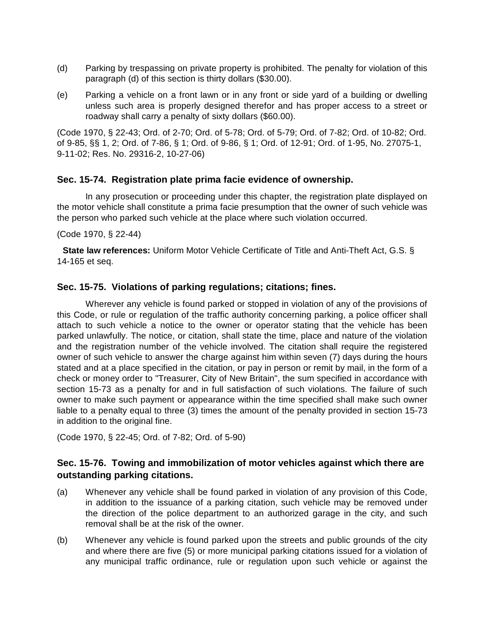- (d) Parking by trespassing on private property is prohibited. The penalty for violation of this paragraph (d) of this section is thirty dollars (\$30.00).
- (e) Parking a vehicle on a front lawn or in any front or side yard of a building or dwelling unless such area is properly designed therefor and has proper access to a street or roadway shall carry a penalty of sixty dollars (\$60.00).

(Code 1970, § 22-43; Ord. of 2-70; Ord. of 5-78; Ord. of 5-79; Ord. of 7-82; Ord. of 10-82; Ord. of 9-85, §§ 1, 2; Ord. of 7-86, § 1; Ord. of 9-86, § 1; Ord. of 12-91; Ord. of 1-95, No. 27075-1, 9-11-02; Res. No. 29316-2, 10-27-06)

## **Sec. 15-74. Registration plate prima facie evidence of ownership.**

In any prosecution or proceeding under this chapter, the registration plate displayed on the motor vehicle shall constitute a prima facie presumption that the owner of such vehicle was the person who parked such vehicle at the place where such violation occurred.

#### (Code 1970, § 22-44)

**State law references:** Uniform Motor Vehicle Certificate of Title and Anti-Theft Act, G.S. § 14-165 et seq.

## **Sec. 15-75. Violations of parking regulations; citations; fines.**

Wherever any vehicle is found parked or stopped in violation of any of the provisions of this Code, or rule or regulation of the traffic authority concerning parking, a police officer shall attach to such vehicle a notice to the owner or operator stating that the vehicle has been parked unlawfully. The notice, or citation, shall state the time, place and nature of the violation and the registration number of the vehicle involved. The citation shall require the registered owner of such vehicle to answer the charge against him within seven (7) days during the hours stated and at a place specified in the citation, or pay in person or remit by mail, in the form of a check or money order to "Treasurer, City of New Britain", the sum specified in accordance with section 15-73 as a penalty for and in full satisfaction of such violations. The failure of such owner to make such payment or appearance within the time specified shall make such owner liable to a penalty equal to three (3) times the amount of the penalty provided in section 15-73 in addition to the original fine.

(Code 1970, § 22-45; Ord. of 7-82; Ord. of 5-90)

## **Sec. 15-76. Towing and immobilization of motor vehicles against which there are outstanding parking citations.**

- (a) Whenever any vehicle shall be found parked in violation of any provision of this Code, in addition to the issuance of a parking citation, such vehicle may be removed under the direction of the police department to an authorized garage in the city, and such removal shall be at the risk of the owner.
- (b) Whenever any vehicle is found parked upon the streets and public grounds of the city and where there are five (5) or more municipal parking citations issued for a violation of any municipal traffic ordinance, rule or regulation upon such vehicle or against the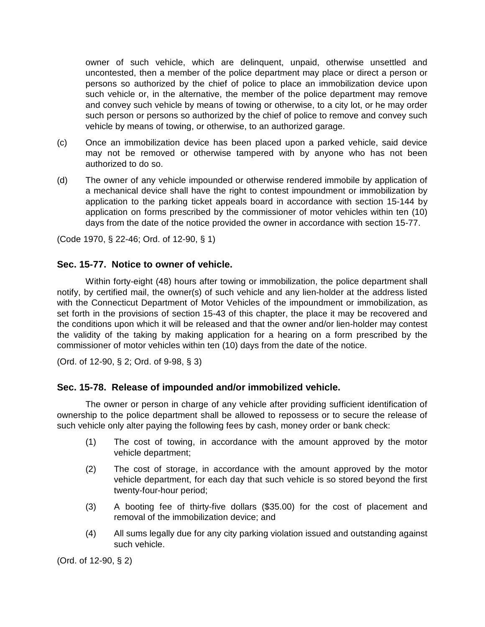owner of such vehicle, which are delinquent, unpaid, otherwise unsettled and uncontested, then a member of the police department may place or direct a person or persons so authorized by the chief of police to place an immobilization device upon such vehicle or, in the alternative, the member of the police department may remove and convey such vehicle by means of towing or otherwise, to a city lot, or he may order such person or persons so authorized by the chief of police to remove and convey such vehicle by means of towing, or otherwise, to an authorized garage.

- (c) Once an immobilization device has been placed upon a parked vehicle, said device may not be removed or otherwise tampered with by anyone who has not been authorized to do so.
- (d) The owner of any vehicle impounded or otherwise rendered immobile by application of a mechanical device shall have the right to contest impoundment or immobilization by application to the parking ticket appeals board in accordance with section 15-144 by application on forms prescribed by the commissioner of motor vehicles within ten (10) days from the date of the notice provided the owner in accordance with section 15-77.

(Code 1970, § 22-46; Ord. of 12-90, § 1)

#### **Sec. 15-77. Notice to owner of vehicle.**

Within forty-eight (48) hours after towing or immobilization, the police department shall notify, by certified mail, the owner(s) of such vehicle and any lien-holder at the address listed with the Connecticut Department of Motor Vehicles of the impoundment or immobilization, as set forth in the provisions of section 15-43 of this chapter, the place it may be recovered and the conditions upon which it will be released and that the owner and/or lien-holder may contest the validity of the taking by making application for a hearing on a form prescribed by the commissioner of motor vehicles within ten (10) days from the date of the notice.

(Ord. of 12-90, § 2; Ord. of 9-98, § 3)

#### **Sec. 15-78. Release of impounded and/or immobilized vehicle.**

The owner or person in charge of any vehicle after providing sufficient identification of ownership to the police department shall be allowed to repossess or to secure the release of such vehicle only alter paying the following fees by cash, money order or bank check:

- (1) The cost of towing, in accordance with the amount approved by the motor vehicle department;
- (2) The cost of storage, in accordance with the amount approved by the motor vehicle department, for each day that such vehicle is so stored beyond the first twenty-four-hour period;
- (3) A booting fee of thirty-five dollars (\$35.00) for the cost of placement and removal of the immobilization device; and
- (4) All sums legally due for any city parking violation issued and outstanding against such vehicle.

(Ord. of 12-90, § 2)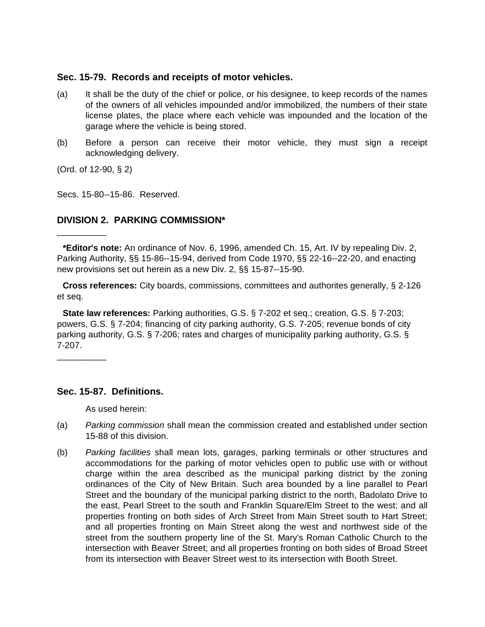## **Sec. 15-79. Records and receipts of motor vehicles.**

- (a) It shall be the duty of the chief or police, or his designee, to keep records of the names of the owners of all vehicles impounded and/or immobilized, the numbers of their state license plates, the place where each vehicle was impounded and the location of the garage where the vehicle is being stored.
- (b) Before a person can receive their motor vehicle, they must sign a receipt acknowledging delivery.

(Ord. of 12-90, § 2)

\_\_\_\_\_\_\_\_\_\_

\_\_\_\_\_\_\_\_\_\_

Secs. 15-80--15-86. Reserved.

# **DIVISION 2. PARKING COMMISSION\***

**Cross references:** City boards, commissions, committees and authorites generally, § 2-126 et seq.

**State law references:** Parking authorities, G.S. § 7-202 et seq.; creation, G.S. § 7-203; powers, G.S. § 7-204; financing of city parking authority, G.S. 7-205; revenue bonds of city parking authority, G.S. § 7-206; rates and charges of municipality parking authority, G.S. § 7-207.

## **Sec. 15-87. Definitions.**

As used herein:

- (a) *Parking commission* shall mean the commission created and established under section 15-88 of this division.
- (b) *Parking facilities* shall mean lots, garages, parking terminals or other structures and accommodations for the parking of motor vehicles open to public use with or without charge within the area described as the municipal parking district by the zoning ordinances of the City of New Britain. Such area bounded by a line parallel to Pearl Street and the boundary of the municipal parking district to the north, Badolato Drive to the east, Pearl Street to the south and Franklin Square/Elm Street to the west; and all properties fronting on both sides of Arch Street from Main Street south to Hart Street; and all properties fronting on Main Street along the west and northwest side of the street from the southern property line of the St. Mary's Roman Catholic Church to the intersection with Beaver Street; and all properties fronting on both sides of Broad Street from its intersection with Beaver Street west to its intersection with Booth Street.

**<sup>\*</sup>Editor's note:** An ordinance of Nov. 6, 1996, amended Ch. 15, Art. IV by repealing Div. 2, Parking Authority, §§ 15-86--15-94, derived from Code 1970, §§ 22-16--22-20, and enacting new provisions set out herein as a new Div. 2, §§ 15-87--15-90.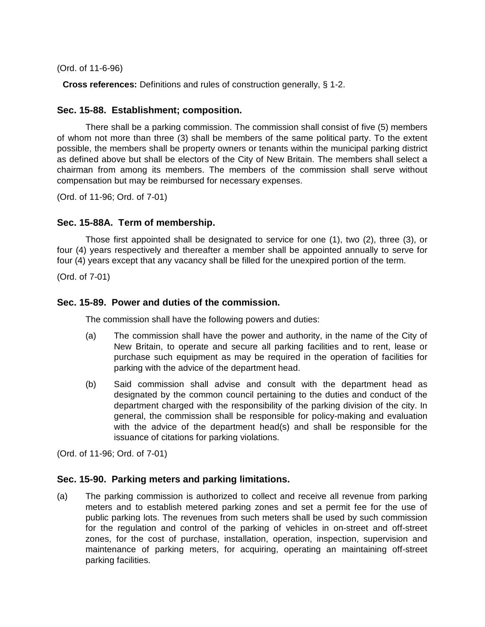(Ord. of 11-6-96)

**Cross references:** Definitions and rules of construction generally, § 1-2.

## **Sec. 15-88. Establishment; composition.**

There shall be a parking commission. The commission shall consist of five (5) members of whom not more than three (3) shall be members of the same political party. To the extent possible, the members shall be property owners or tenants within the municipal parking district as defined above but shall be electors of the City of New Britain. The members shall select a chairman from among its members. The members of the commission shall serve without compensation but may be reimbursed for necessary expenses.

(Ord. of 11-96; Ord. of 7-01)

## **Sec. 15-88A. Term of membership.**

Those first appointed shall be designated to service for one (1), two (2), three (3), or four (4) years respectively and thereafter a member shall be appointed annually to serve for four (4) years except that any vacancy shall be filled for the unexpired portion of the term.

(Ord. of 7-01)

## **Sec. 15-89. Power and duties of the commission.**

The commission shall have the following powers and duties:

- (a) The commission shall have the power and authority, in the name of the City of New Britain, to operate and secure all parking facilities and to rent, lease or purchase such equipment as may be required in the operation of facilities for parking with the advice of the department head.
- (b) Said commission shall advise and consult with the department head as designated by the common council pertaining to the duties and conduct of the department charged with the responsibility of the parking division of the city. In general, the commission shall be responsible for policy-making and evaluation with the advice of the department head(s) and shall be responsible for the issuance of citations for parking violations.

(Ord. of 11-96; Ord. of 7-01)

#### **Sec. 15-90. Parking meters and parking limitations.**

(a) The parking commission is authorized to collect and receive all revenue from parking meters and to establish metered parking zones and set a permit fee for the use of public parking lots. The revenues from such meters shall be used by such commission for the regulation and control of the parking of vehicles in on-street and off-street zones, for the cost of purchase, installation, operation, inspection, supervision and maintenance of parking meters, for acquiring, operating an maintaining off-street parking facilities.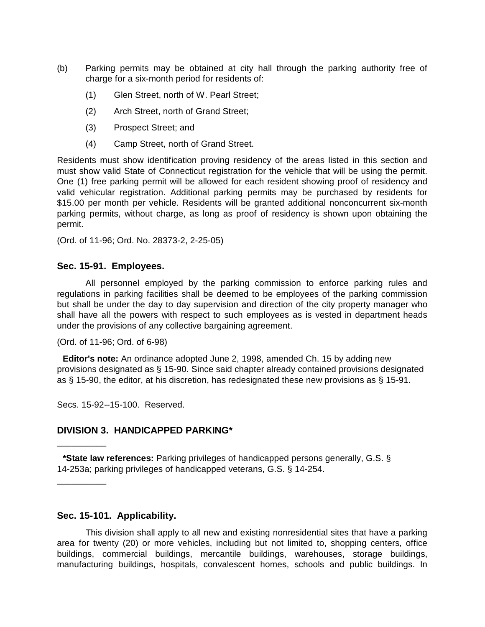- (b) Parking permits may be obtained at city hall through the parking authority free of charge for a six-month period for residents of:
	- (1) Glen Street, north of W. Pearl Street;
	- (2) Arch Street, north of Grand Street;
	- (3) Prospect Street; and
	- (4) Camp Street, north of Grand Street.

Residents must show identification proving residency of the areas listed in this section and must show valid State of Connecticut registration for the vehicle that will be using the permit. One (1) free parking permit will be allowed for each resident showing proof of residency and valid vehicular registration. Additional parking permits may be purchased by residents for \$15.00 per month per vehicle. Residents will be granted additional nonconcurrent six-month parking permits, without charge, as long as proof of residency is shown upon obtaining the permit.

(Ord. of 11-96; Ord. No. 28373-2, 2-25-05)

#### **Sec. 15-91. Employees.**

All personnel employed by the parking commission to enforce parking rules and regulations in parking facilities shall be deemed to be employees of the parking commission but shall be under the day to day supervision and direction of the city property manager who shall have all the powers with respect to such employees as is vested in department heads under the provisions of any collective bargaining agreement.

(Ord. of 11-96; Ord. of 6-98)

**Editor's note:** An ordinance adopted June 2, 1998, amended Ch. 15 by adding new provisions designated as § 15-90. Since said chapter already contained provisions designated as § 15-90, the editor, at his discretion, has redesignated these new provisions as § 15-91.

Secs. 15-92--15-100. Reserved.

\_\_\_\_\_\_\_\_\_\_

\_\_\_\_\_\_\_\_\_\_

## **DIVISION 3. HANDICAPPED PARKING\***

**\*State law references:** Parking privileges of handicapped persons generally, G.S. § 14-253a; parking privileges of handicapped veterans, G.S. § 14-254.

#### **Sec. 15-101. Applicability.**

This division shall apply to all new and existing nonresidential sites that have a parking area for twenty (20) or more vehicles, including but not limited to, shopping centers, office buildings, commercial buildings, mercantile buildings, warehouses, storage buildings, manufacturing buildings, hospitals, convalescent homes, schools and public buildings. In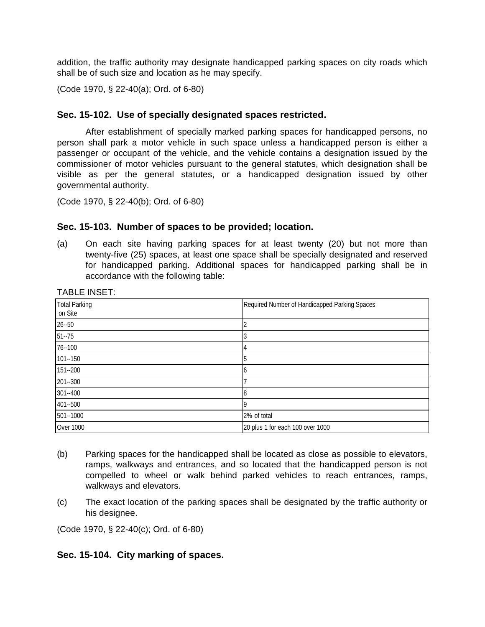addition, the traffic authority may designate handicapped parking spaces on city roads which shall be of such size and location as he may specify.

(Code 1970, § 22-40(a); Ord. of 6-80)

## **Sec. 15-102. Use of specially designated spaces restricted.**

After establishment of specially marked parking spaces for handicapped persons, no person shall park a motor vehicle in such space unless a handicapped person is either a passenger or occupant of the vehicle, and the vehicle contains a designation issued by the commissioner of motor vehicles pursuant to the general statutes, which designation shall be visible as per the general statutes, or a handicapped designation issued by other governmental authority.

(Code 1970, § 22-40(b); Ord. of 6-80)

#### **Sec. 15-103. Number of spaces to be provided; location.**

(a) On each site having parking spaces for at least twenty (20) but not more than twenty-five (25) spaces, at least one space shall be specially designated and reserved for handicapped parking. Additional spaces for handicapped parking shall be in accordance with the following table:

| <b>Total Parking</b><br>on Site | Required Number of Handicapped Parking Spaces |
|---------------------------------|-----------------------------------------------|
| $26 - 50$                       |                                               |
| $51 - 75$                       |                                               |
| $76 - 100$                      | 4                                             |
| $101 - 150$                     | 5                                             |
| 151 -- 200                      | h                                             |
| 201-300                         |                                               |
| 301--400                        | 8                                             |
| 401 -- 500                      | a                                             |
| 501--1000                       | 2% of total                                   |
| <b>Over 1000</b>                | 20 plus 1 for each 100 over 1000              |

TABLE INSET<sup>.</sup>

- (b) Parking spaces for the handicapped shall be located as close as possible to elevators, ramps, walkways and entrances, and so located that the handicapped person is not compelled to wheel or walk behind parked vehicles to reach entrances, ramps, walkways and elevators.
- (c) The exact location of the parking spaces shall be designated by the traffic authority or his designee.

(Code 1970, § 22-40(c); Ord. of 6-80)

#### **Sec. 15-104. City marking of spaces.**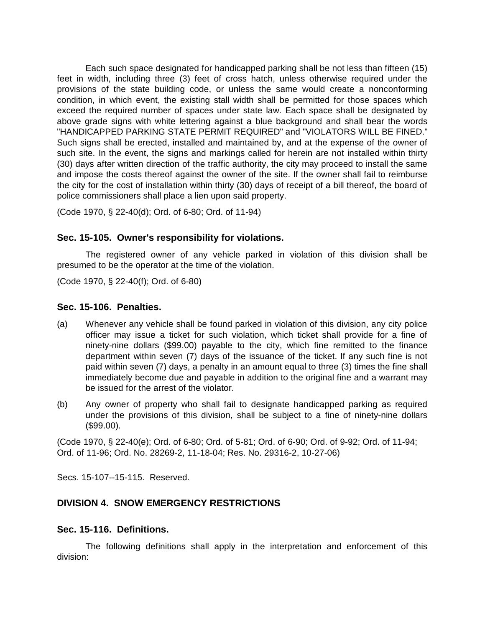Each such space designated for handicapped parking shall be not less than fifteen (15) feet in width, including three (3) feet of cross hatch, unless otherwise required under the provisions of the state building code, or unless the same would create a nonconforming condition, in which event, the existing stall width shall be permitted for those spaces which exceed the required number of spaces under state law. Each space shall be designated by above grade signs with white lettering against a blue background and shall bear the words "HANDICAPPED PARKING STATE PERMIT REQUIRED" and "VIOLATORS WILL BE FINED." Such signs shall be erected, installed and maintained by, and at the expense of the owner of such site. In the event, the signs and markings called for herein are not installed within thirty (30) days after written direction of the traffic authority, the city may proceed to install the same and impose the costs thereof against the owner of the site. If the owner shall fail to reimburse the city for the cost of installation within thirty (30) days of receipt of a bill thereof, the board of police commissioners shall place a lien upon said property.

(Code 1970, § 22-40(d); Ord. of 6-80; Ord. of 11-94)

## **Sec. 15-105. Owner's responsibility for violations.**

The registered owner of any vehicle parked in violation of this division shall be presumed to be the operator at the time of the violation.

(Code 1970, § 22-40(f); Ord. of 6-80)

#### **Sec. 15-106. Penalties.**

- (a) Whenever any vehicle shall be found parked in violation of this division, any city police officer may issue a ticket for such violation, which ticket shall provide for a fine of ninety-nine dollars (\$99.00) payable to the city, which fine remitted to the finance department within seven (7) days of the issuance of the ticket. If any such fine is not paid within seven (7) days, a penalty in an amount equal to three (3) times the fine shall immediately become due and payable in addition to the original fine and a warrant may be issued for the arrest of the violator.
- (b) Any owner of property who shall fail to designate handicapped parking as required under the provisions of this division, shall be subject to a fine of ninety-nine dollars (\$99.00).

(Code 1970, § 22-40(e); Ord. of 6-80; Ord. of 5-81; Ord. of 6-90; Ord. of 9-92; Ord. of 11-94; Ord. of 11-96; Ord. No. 28269-2, 11-18-04; Res. No. 29316-2, 10-27-06)

Secs. 15-107--15-115. Reserved.

## **DIVISION 4. SNOW EMERGENCY RESTRICTIONS**

#### **Sec. 15-116. Definitions.**

The following definitions shall apply in the interpretation and enforcement of this division: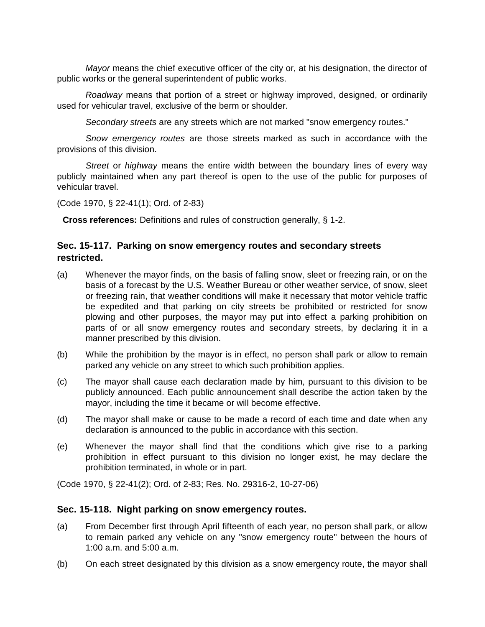*Mayor* means the chief executive officer of the city or, at his designation, the director of public works or the general superintendent of public works.

*Roadway* means that portion of a street or highway improved, designed, or ordinarily used for vehicular travel, exclusive of the berm or shoulder.

*Secondary streets* are any streets which are not marked "snow emergency routes."

*Snow emergency routes* are those streets marked as such in accordance with the provisions of this division.

*Street* or *highway* means the entire width between the boundary lines of every way publicly maintained when any part thereof is open to the use of the public for purposes of vehicular travel.

(Code 1970, § 22-41(1); Ord. of 2-83)

**Cross references:** Definitions and rules of construction generally, § 1-2.

## **Sec. 15-117. Parking on snow emergency routes and secondary streets restricted.**

- (a) Whenever the mayor finds, on the basis of falling snow, sleet or freezing rain, or on the basis of a forecast by the U.S. Weather Bureau or other weather service, of snow, sleet or freezing rain, that weather conditions will make it necessary that motor vehicle traffic be expedited and that parking on city streets be prohibited or restricted for snow plowing and other purposes, the mayor may put into effect a parking prohibition on parts of or all snow emergency routes and secondary streets, by declaring it in a manner prescribed by this division.
- (b) While the prohibition by the mayor is in effect, no person shall park or allow to remain parked any vehicle on any street to which such prohibition applies.
- (c) The mayor shall cause each declaration made by him, pursuant to this division to be publicly announced. Each public announcement shall describe the action taken by the mayor, including the time it became or will become effective.
- (d) The mayor shall make or cause to be made a record of each time and date when any declaration is announced to the public in accordance with this section.
- (e) Whenever the mayor shall find that the conditions which give rise to a parking prohibition in effect pursuant to this division no longer exist, he may declare the prohibition terminated, in whole or in part.

(Code 1970, § 22-41(2); Ord. of 2-83; Res. No. 29316-2, 10-27-06)

#### **Sec. 15-118. Night parking on snow emergency routes.**

- (a) From December first through April fifteenth of each year, no person shall park, or allow to remain parked any vehicle on any "snow emergency route" between the hours of 1:00 a.m. and 5:00 a.m.
- (b) On each street designated by this division as a snow emergency route, the mayor shall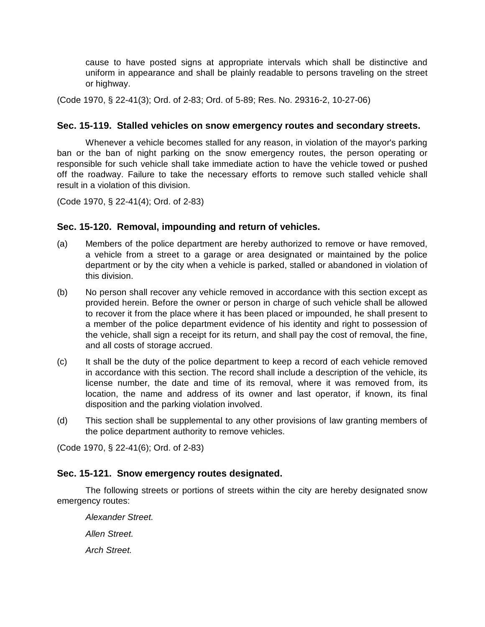cause to have posted signs at appropriate intervals which shall be distinctive and uniform in appearance and shall be plainly readable to persons traveling on the street or highway.

(Code 1970, § 22-41(3); Ord. of 2-83; Ord. of 5-89; Res. No. 29316-2, 10-27-06)

## **Sec. 15-119. Stalled vehicles on snow emergency routes and secondary streets.**

Whenever a vehicle becomes stalled for any reason, in violation of the mayor's parking ban or the ban of night parking on the snow emergency routes, the person operating or responsible for such vehicle shall take immediate action to have the vehicle towed or pushed off the roadway. Failure to take the necessary efforts to remove such stalled vehicle shall result in a violation of this division.

(Code 1970, § 22-41(4); Ord. of 2-83)

## **Sec. 15-120. Removal, impounding and return of vehicles.**

- (a) Members of the police department are hereby authorized to remove or have removed, a vehicle from a street to a garage or area designated or maintained by the police department or by the city when a vehicle is parked, stalled or abandoned in violation of this division.
- (b) No person shall recover any vehicle removed in accordance with this section except as provided herein. Before the owner or person in charge of such vehicle shall be allowed to recover it from the place where it has been placed or impounded, he shall present to a member of the police department evidence of his identity and right to possession of the vehicle, shall sign a receipt for its return, and shall pay the cost of removal, the fine, and all costs of storage accrued.
- (c) It shall be the duty of the police department to keep a record of each vehicle removed in accordance with this section. The record shall include a description of the vehicle, its license number, the date and time of its removal, where it was removed from, its location, the name and address of its owner and last operator, if known, its final disposition and the parking violation involved.
- (d) This section shall be supplemental to any other provisions of law granting members of the police department authority to remove vehicles.

(Code 1970, § 22-41(6); Ord. of 2-83)

#### **Sec. 15-121. Snow emergency routes designated.**

The following streets or portions of streets within the city are hereby designated snow emergency routes:

*Alexander Street. Allen Street. Arch Street.*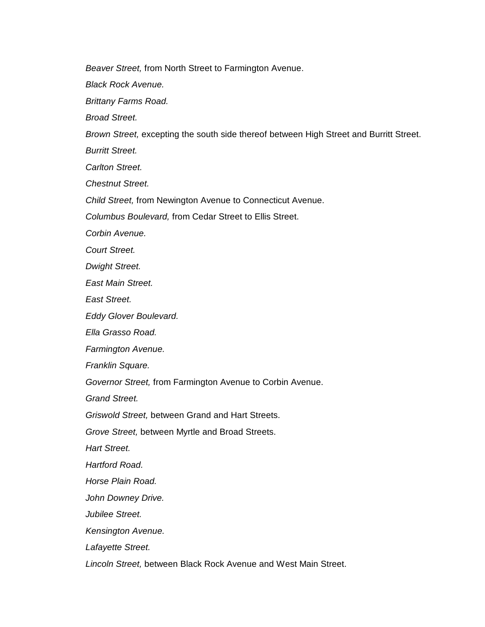*Beaver Street,* from North Street to Farmington Avenue.

*Black Rock Avenue.*

*Brittany Farms Road.*

*Broad Street.*

*Brown Street,* excepting the south side thereof between High Street and Burritt Street.

*Burritt Street.*

*Carlton Street.*

*Chestnut Street.*

*Child Street,* from Newington Avenue to Connecticut Avenue.

*Columbus Boulevard,* from Cedar Street to Ellis Street.

*Corbin Avenue.*

*Court Street.*

*Dwight Street.*

*East Main Street.*

*East Street.*

*Eddy Glover Boulevard.*

*Ella Grasso Road.*

*Farmington Avenue.*

*Franklin Square.*

*Governor Street,* from Farmington Avenue to Corbin Avenue.

*Grand Street.*

*Griswold Street,* between Grand and Hart Streets.

*Grove Street,* between Myrtle and Broad Streets.

*Hart Street.*

*Hartford Road.*

*Horse Plain Road.*

*John Downey Drive.*

*Jubilee Street.*

*Kensington Avenue.*

*Lafayette Street.*

*Lincoln Street,* between Black Rock Avenue and West Main Street.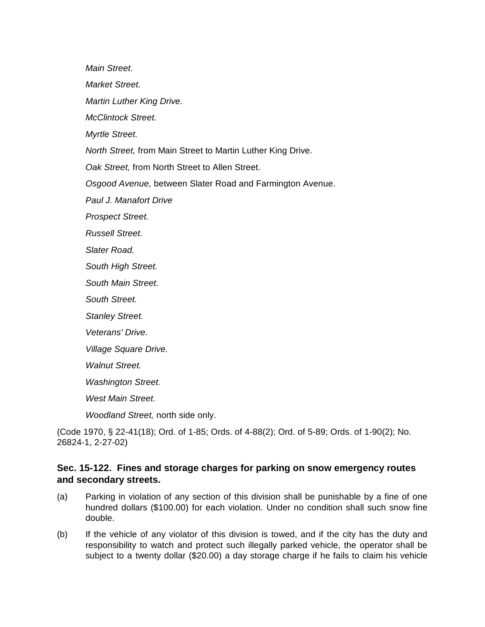*Main Street.*

*Market Street.*

*Martin Luther King Drive.*

*McClintock Street.*

*Myrtle Street.*

*North Street,* from Main Street to Martin Luther King Drive.

*Oak Street,* from North Street to Allen Street.

*Osgood Avenue,* between Slater Road and Farmington Avenue.

*Paul J. Manafort Drive*

*Prospect Street.*

*Russell Street.*

*Slater Road.*

*South High Street.*

*South Main Street.*

*South Street.*

*Stanley Street.*

*Veterans' Drive.*

*Village Square Drive.*

*Walnut Street.*

*Washington Street.*

*West Main Street.*

*Woodland Street,* north side only.

(Code 1970, § 22-41(18); Ord. of 1-85; Ords. of 4-88(2); Ord. of 5-89; Ords. of 1-90(2); No. 26824-1, 2-27-02)

## **Sec. 15-122. Fines and storage charges for parking on snow emergency routes and secondary streets.**

- (a) Parking in violation of any section of this division shall be punishable by a fine of one hundred dollars (\$100.00) for each violation. Under no condition shall such snow fine double.
- (b) If the vehicle of any violator of this division is towed, and if the city has the duty and responsibility to watch and protect such illegally parked vehicle, the operator shall be subject to a twenty dollar (\$20.00) a day storage charge if he fails to claim his vehicle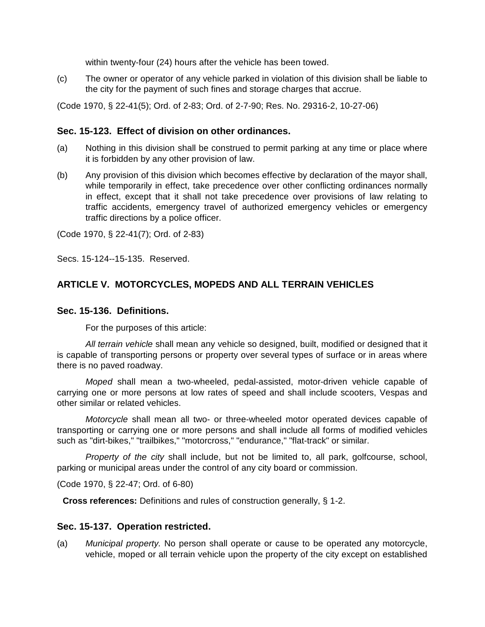within twenty-four (24) hours after the vehicle has been towed.

(c) The owner or operator of any vehicle parked in violation of this division shall be liable to the city for the payment of such fines and storage charges that accrue.

(Code 1970, § 22-41(5); Ord. of 2-83; Ord. of 2-7-90; Res. No. 29316-2, 10-27-06)

## **Sec. 15-123. Effect of division on other ordinances.**

- (a) Nothing in this division shall be construed to permit parking at any time or place where it is forbidden by any other provision of law.
- (b) Any provision of this division which becomes effective by declaration of the mayor shall, while temporarily in effect, take precedence over other conflicting ordinances normally in effect, except that it shall not take precedence over provisions of law relating to traffic accidents, emergency travel of authorized emergency vehicles or emergency traffic directions by a police officer.

(Code 1970, § 22-41(7); Ord. of 2-83)

Secs. 15-124--15-135. Reserved.

# **ARTICLE V. MOTORCYCLES, MOPEDS AND ALL TERRAIN VEHICLES**

#### **Sec. 15-136. Definitions.**

For the purposes of this article:

*All terrain vehicle* shall mean any vehicle so designed, built, modified or designed that it is capable of transporting persons or property over several types of surface or in areas where there is no paved roadway.

*Moped* shall mean a two-wheeled, pedal-assisted, motor-driven vehicle capable of carrying one or more persons at low rates of speed and shall include scooters, Vespas and other similar or related vehicles.

*Motorcycle* shall mean all two- or three-wheeled motor operated devices capable of transporting or carrying one or more persons and shall include all forms of modified vehicles such as "dirt-bikes," "trailbikes," "motorcross," "endurance," "flat-track" or similar.

*Property of the city* shall include, but not be limited to, all park, golfcourse, school, parking or municipal areas under the control of any city board or commission.

(Code 1970, § 22-47; Ord. of 6-80)

**Cross references:** Definitions and rules of construction generally, § 1-2.

#### **Sec. 15-137. Operation restricted.**

(a) *Municipal property.* No person shall operate or cause to be operated any motorcycle, vehicle, moped or all terrain vehicle upon the property of the city except on established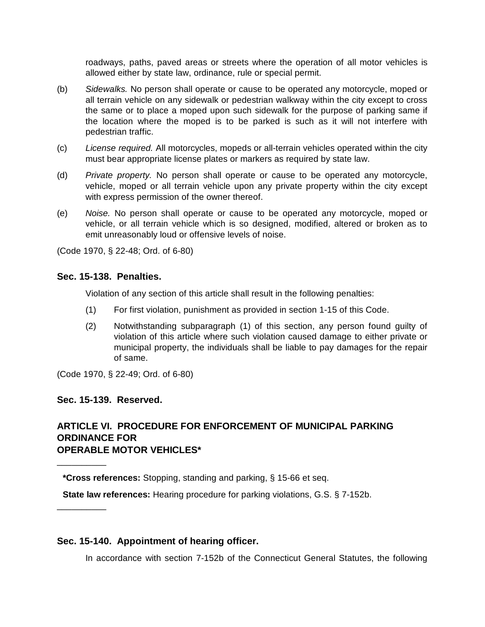roadways, paths, paved areas or streets where the operation of all motor vehicles is allowed either by state law, ordinance, rule or special permit.

- (b) *Sidewalks.* No person shall operate or cause to be operated any motorcycle, moped or all terrain vehicle on any sidewalk or pedestrian walkway within the city except to cross the same or to place a moped upon such sidewalk for the purpose of parking same if the location where the moped is to be parked is such as it will not interfere with pedestrian traffic.
- (c) *License required.* All motorcycles, mopeds or all-terrain vehicles operated within the city must bear appropriate license plates or markers as required by state law.
- (d) *Private property.* No person shall operate or cause to be operated any motorcycle, vehicle, moped or all terrain vehicle upon any private property within the city except with express permission of the owner thereof.
- (e) *Noise.* No person shall operate or cause to be operated any motorcycle, moped or vehicle, or all terrain vehicle which is so designed, modified, altered or broken as to emit unreasonably loud or offensive levels of noise.

(Code 1970, § 22-48; Ord. of 6-80)

#### **Sec. 15-138. Penalties.**

Violation of any section of this article shall result in the following penalties:

- (1) For first violation, punishment as provided in section 1-15 of this Code.
- (2) Notwithstanding subparagraph (1) of this section, any person found guilty of violation of this article where such violation caused damage to either private or municipal property, the individuals shall be liable to pay damages for the repair of same.

(Code 1970, § 22-49; Ord. of 6-80)

#### **Sec. 15-139. Reserved.**

\_\_\_\_\_\_\_\_\_\_

\_\_\_\_\_\_\_\_\_\_

## **ARTICLE VI. PROCEDURE FOR ENFORCEMENT OF MUNICIPAL PARKING ORDINANCE FOR OPERABLE MOTOR VEHICLES\***

**\*Cross references:** Stopping, standing and parking, § 15-66 et seq.

**State law references:** Hearing procedure for parking violations, G.S. § 7-152b.

#### **Sec. 15-140. Appointment of hearing officer.**

In accordance with section 7-152b of the Connecticut General Statutes, the following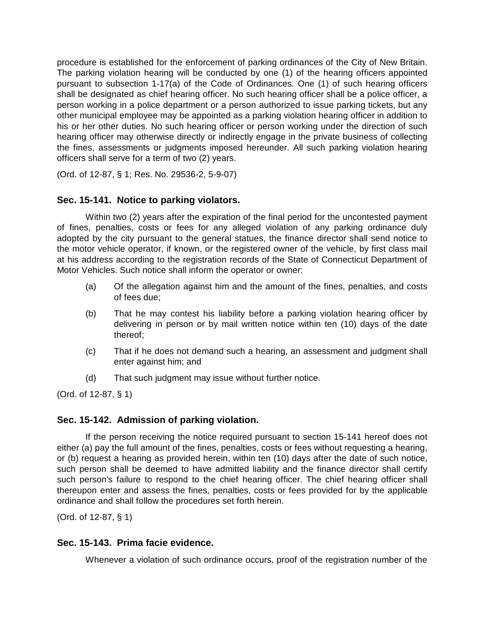procedure is established for the enforcement of parking ordinances of the City of New Britain. The parking violation hearing will be conducted by one (1) of the hearing officers appointed pursuant to subsection 1-17(a) of the Code of Ordinances. One (1) of such hearing officers shall be designated as chief hearing officer. No such hearing officer shall be a police officer, a person working in a police department or a person authorized to issue parking tickets, but any other municipal employee may be appointed as a parking violation hearing officer in addition to his or her other duties. No such hearing officer or person working under the direction of such hearing officer may otherwise directly or indirectly engage in the private business of collecting the fines, assessments or judgments imposed hereunder. All such parking violation hearing officers shall serve for a term of two (2) years.

(Ord. of 12-87, § 1; Res. No. 29536-2, 5-9-07)

## **Sec. 15-141. Notice to parking violators.**

Within two (2) years after the expiration of the final period for the uncontested payment of fines, penalties, costs or fees for any alleged violation of any parking ordinance duly adopted by the city pursuant to the general statues, the finance director shall send notice to the motor vehicle operator, if known, or the registered owner of the vehicle, by first class mail at his address according to the registration records of the State of Connecticut Department of Motor Vehicles. Such notice shall inform the operator or owner:

- (a) Of the allegation against him and the amount of the fines, penalties, and costs of fees due;
- (b) That he may contest his liability before a parking violation hearing officer by delivering in person or by mail written notice within ten (10) days of the date thereof;
- (c) That if he does not demand such a hearing, an assessment and judgment shall enter against him; and
- (d) That such judgment may issue without further notice.

(Ord. of 12-87, § 1)

## **Sec. 15-142. Admission of parking violation.**

If the person receiving the notice required pursuant to section 15-141 hereof does not either (a) pay the full amount of the fines, penalties, costs or fees without requesting a hearing, or (b) request a hearing as provided herein, within ten (10) days after the date of such notice, such person shall be deemed to have admitted liability and the finance director shall certify such person's failure to respond to the chief hearing officer. The chief hearing officer shall thereupon enter and assess the fines, penalties, costs or fees provided for by the applicable ordinance and shall follow the procedures set forth herein.

(Ord. of 12-87, § 1)

#### **Sec. 15-143. Prima facie evidence.**

Whenever a violation of such ordinance occurs, proof of the registration number of the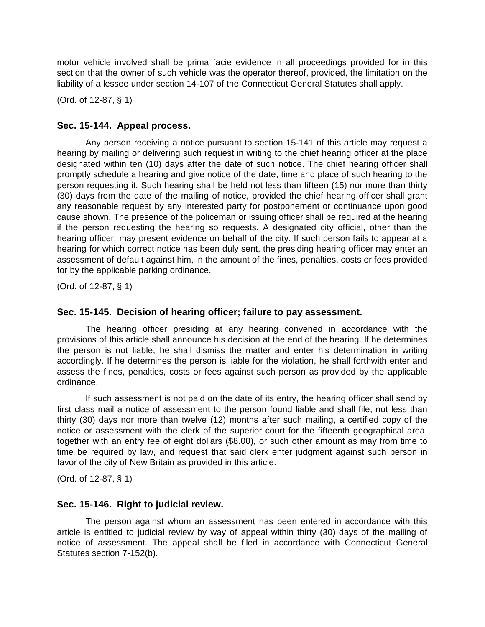motor vehicle involved shall be prima facie evidence in all proceedings provided for in this section that the owner of such vehicle was the operator thereof, provided, the limitation on the liability of a lessee under section 14-107 of the Connecticut General Statutes shall apply.

(Ord. of 12-87, § 1)

## **Sec. 15-144. Appeal process.**

Any person receiving a notice pursuant to section 15-141 of this article may request a hearing by mailing or delivering such request in writing to the chief hearing officer at the place designated within ten (10) days after the date of such notice. The chief hearing officer shall promptly schedule a hearing and give notice of the date, time and place of such hearing to the person requesting it. Such hearing shall be held not less than fifteen (15) nor more than thirty (30) days from the date of the mailing of notice, provided the chief hearing officer shall grant any reasonable request by any interested party for postponement or continuance upon good cause shown. The presence of the policeman or issuing officer shall be required at the hearing if the person requesting the hearing so requests. A designated city official, other than the hearing officer, may present evidence on behalf of the city. If such person fails to appear at a hearing for which correct notice has been duly sent, the presiding hearing officer may enter an assessment of default against him, in the amount of the fines, penalties, costs or fees provided for by the applicable parking ordinance.

(Ord. of 12-87, § 1)

## **Sec. 15-145. Decision of hearing officer; failure to pay assessment.**

The hearing officer presiding at any hearing convened in accordance with the provisions of this article shall announce his decision at the end of the hearing. If he determines the person is not liable, he shall dismiss the matter and enter his determination in writing accordingly. If he determines the person is liable for the violation, he shall forthwith enter and assess the fines, penalties, costs or fees against such person as provided by the applicable ordinance.

If such assessment is not paid on the date of its entry, the hearing officer shall send by first class mail a notice of assessment to the person found liable and shall file, not less than thirty (30) days nor more than twelve (12) months after such mailing, a certified copy of the notice or assessment with the clerk of the superior court for the fifteenth geographical area, together with an entry fee of eight dollars (\$8.00), or such other amount as may from time to time be required by law, and request that said clerk enter judgment against such person in favor of the city of New Britain as provided in this article.

(Ord. of 12-87, § 1)

#### **Sec. 15-146. Right to judicial review.**

The person against whom an assessment has been entered in accordance with this article is entitled to judicial review by way of appeal within thirty (30) days of the mailing of notice of assessment. The appeal shall be filed in accordance with Connecticut General Statutes section 7-152(b).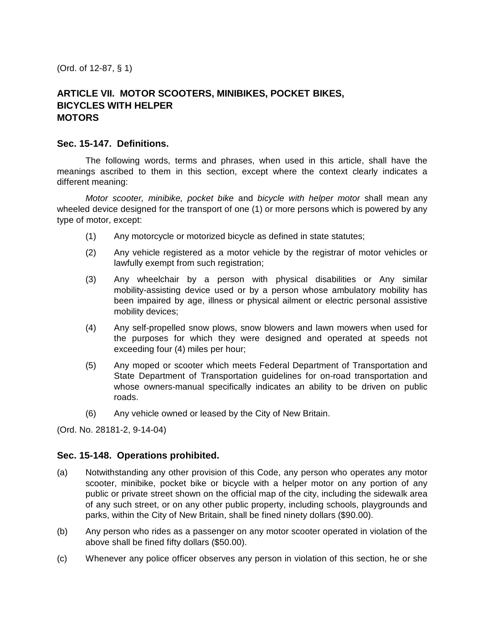(Ord. of 12-87, § 1)

# **ARTICLE VII. MOTOR SCOOTERS, MINIBIKES, POCKET BIKES, BICYCLES WITH HELPER MOTORS**

#### **Sec. 15-147. Definitions.**

The following words, terms and phrases, when used in this article, shall have the meanings ascribed to them in this section, except where the context clearly indicates a different meaning:

*Motor scooter, minibike, pocket bike* and *bicycle with helper motor* shall mean any wheeled device designed for the transport of one (1) or more persons which is powered by any type of motor, except:

- (1) Any motorcycle or motorized bicycle as defined in state statutes;
- (2) Any vehicle registered as a motor vehicle by the registrar of motor vehicles or lawfully exempt from such registration;
- (3) Any wheelchair by a person with physical disabilities or Any similar mobility-assisting device used or by a person whose ambulatory mobility has been impaired by age, illness or physical ailment or electric personal assistive mobility devices;
- (4) Any self-propelled snow plows, snow blowers and lawn mowers when used for the purposes for which they were designed and operated at speeds not exceeding four (4) miles per hour;
- (5) Any moped or scooter which meets Federal Department of Transportation and State Department of Transportation guidelines for on-road transportation and whose owners-manual specifically indicates an ability to be driven on public roads.
- (6) Any vehicle owned or leased by the City of New Britain.

(Ord. No. 28181-2, 9-14-04)

#### **Sec. 15-148. Operations prohibited.**

- (a) Notwithstanding any other provision of this Code, any person who operates any motor scooter, minibike, pocket bike or bicycle with a helper motor on any portion of any public or private street shown on the official map of the city, including the sidewalk area of any such street, or on any other public property, including schools, playgrounds and parks, within the City of New Britain, shall be fined ninety dollars (\$90.00).
- (b) Any person who rides as a passenger on any motor scooter operated in violation of the above shall be fined fifty dollars (\$50.00).
- (c) Whenever any police officer observes any person in violation of this section, he or she